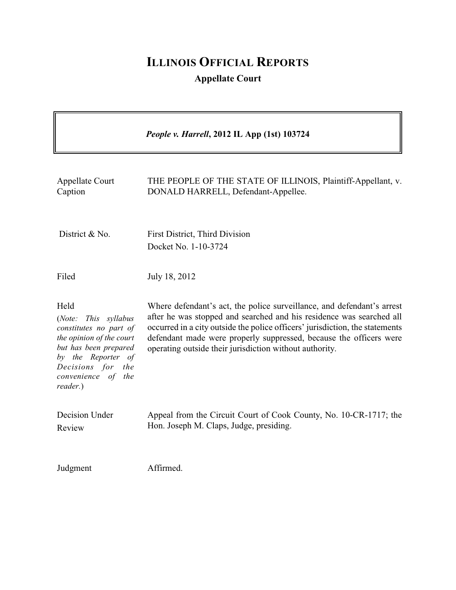# **ILLINOIS OFFICIAL REPORTS**

**Appellate Court**

|                                                                                                                                                                                                | People v. Harrell, 2012 IL App (1st) 103724                                                                                                                                                                                                                                                                                                                     |
|------------------------------------------------------------------------------------------------------------------------------------------------------------------------------------------------|-----------------------------------------------------------------------------------------------------------------------------------------------------------------------------------------------------------------------------------------------------------------------------------------------------------------------------------------------------------------|
| <b>Appellate Court</b><br>Caption                                                                                                                                                              | THE PEOPLE OF THE STATE OF ILLINOIS, Plaintiff-Appellant, v.<br>DONALD HARRELL, Defendant-Appellee.                                                                                                                                                                                                                                                             |
| District & No.                                                                                                                                                                                 | First District, Third Division<br>Docket No. 1-10-3724                                                                                                                                                                                                                                                                                                          |
| Filed                                                                                                                                                                                          | July 18, 2012                                                                                                                                                                                                                                                                                                                                                   |
| Held<br>This syllabus<br>(Note:<br>constitutes no part of<br>the opinion of the court<br>but has been prepared<br>by the Reporter of<br>Decisions for<br>the<br>convenience of the<br>reader.) | Where defendant's act, the police surveillance, and defendant's arrest<br>after he was stopped and searched and his residence was searched all<br>occurred in a city outside the police officers' jurisdiction, the statements<br>defendant made were properly suppressed, because the officers were<br>operating outside their jurisdiction without authority. |
| Decision Under<br>Review                                                                                                                                                                       | Appeal from the Circuit Court of Cook County, No. 10-CR-1717; the<br>Hon. Joseph M. Claps, Judge, presiding.                                                                                                                                                                                                                                                    |
| Judgment                                                                                                                                                                                       | Affirmed.                                                                                                                                                                                                                                                                                                                                                       |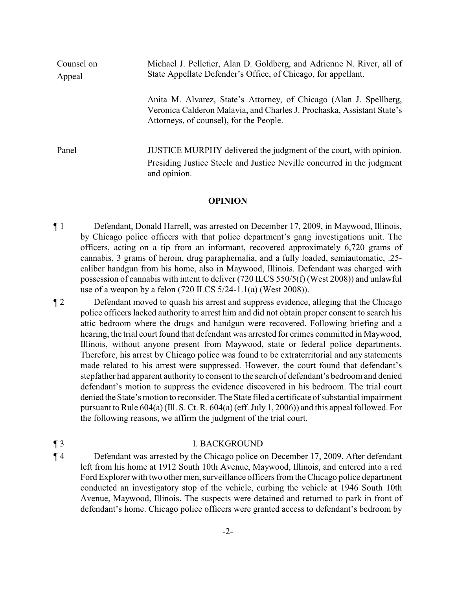| Counsel on<br>Appeal | Michael J. Pelletier, Alan D. Goldberg, and Adrienne N. River, all of<br>State Appellate Defender's Office, of Chicago, for appellant.                                                  |
|----------------------|-----------------------------------------------------------------------------------------------------------------------------------------------------------------------------------------|
|                      | Anita M. Alvarez, State's Attorney, of Chicago (Alan J. Spellberg,<br>Veronica Calderon Malavia, and Charles J. Prochaska, Assistant State's<br>Attorneys, of counsel), for the People. |
| Panel                | JUSTICE MURPHY delivered the judgment of the court, with opinion.<br>Presiding Justice Steele and Justice Neville concurred in the judgment<br>and opinion.                             |

#### **OPINION**

¶ 1 Defendant, Donald Harrell, was arrested on December 17, 2009, in Maywood, Illinois, by Chicago police officers with that police department's gang investigations unit. The officers, acting on a tip from an informant, recovered approximately 6,720 grams of cannabis, 3 grams of heroin, drug paraphernalia, and a fully loaded, semiautomatic, .25 caliber handgun from his home, also in Maywood, Illinois. Defendant was charged with possession of cannabis with intent to deliver (720 ILCS 550/5(f) (West 2008)) and unlawful use of a weapon by a felon (720 ILCS 5/24-1.1(a) (West 2008)).

¶ 2 Defendant moved to quash his arrest and suppress evidence, alleging that the Chicago police officers lacked authority to arrest him and did not obtain proper consent to search his attic bedroom where the drugs and handgun were recovered. Following briefing and a hearing, the trial court found that defendant was arrested for crimes committed in Maywood, Illinois, without anyone present from Maywood, state or federal police departments. Therefore, his arrest by Chicago police was found to be extraterritorial and any statements made related to his arrest were suppressed. However, the court found that defendant's stepfather had apparent authority to consent to the search of defendant's bedroom and denied defendant's motion to suppress the evidence discovered in his bedroom. The trial court denied the State's motion to reconsider. The State filed a certificate of substantial impairment pursuant to Rule 604(a)(Ill. S. Ct. R. 604(a)(eff. July 1, 2006)) and this appeal followed. For the following reasons, we affirm the judgment of the trial court.

# ¶ 3 I. BACKGROUND

¶ 4 Defendant was arrested by the Chicago police on December 17, 2009. After defendant left from his home at 1912 South 10th Avenue, Maywood, Illinois, and entered into a red Ford Explorer with two other men, surveillance officers from the Chicago police department conducted an investigatory stop of the vehicle, curbing the vehicle at 1946 South 10th Avenue, Maywood, Illinois. The suspects were detained and returned to park in front of defendant's home. Chicago police officers were granted access to defendant's bedroom by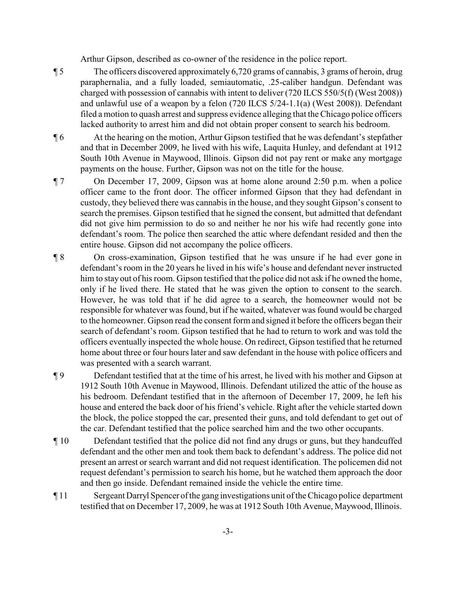Arthur Gipson, described as co-owner of the residence in the police report.

- ¶ 5 The officers discovered approximately 6,720 grams of cannabis, 3 grams of heroin, drug paraphernalia, and a fully loaded, semiautomatic, .25-caliber handgun. Defendant was charged with possession of cannabis with intent to deliver (720 ILCS 550/5(f) (West 2008)) and unlawful use of a weapon by a felon (720 ILCS 5/24-1.1(a) (West 2008)). Defendant filed a motion to quash arrest and suppress evidence alleging that the Chicago police officers lacked authority to arrest him and did not obtain proper consent to search his bedroom.
- ¶ 6 At the hearing on the motion, Arthur Gipson testified that he was defendant's stepfather and that in December 2009, he lived with his wife, Laquita Hunley, and defendant at 1912 South 10th Avenue in Maywood, Illinois. Gipson did not pay rent or make any mortgage payments on the house. Further, Gipson was not on the title for the house.
- ¶ 7 On December 17, 2009, Gipson was at home alone around 2:50 p.m. when a police officer came to the front door. The officer informed Gipson that they had defendant in custody, they believed there was cannabis in the house, and they sought Gipson's consent to search the premises. Gipson testified that he signed the consent, but admitted that defendant did not give him permission to do so and neither he nor his wife had recently gone into defendant's room. The police then searched the attic where defendant resided and then the entire house. Gipson did not accompany the police officers.
- ¶ 8 On cross-examination, Gipson testified that he was unsure if he had ever gone in defendant's room in the 20 years he lived in his wife's house and defendant never instructed him to stay out of his room. Gipson testified that the police did not ask if he owned the home, only if he lived there. He stated that he was given the option to consent to the search. However, he was told that if he did agree to a search, the homeowner would not be responsible for whatever was found, but if he waited, whatever was found would be charged to the homeowner. Gipson read the consent form and signed it before the officers began their search of defendant's room. Gipson testified that he had to return to work and was told the officers eventually inspected the whole house. On redirect, Gipson testified that he returned home about three or four hours later and saw defendant in the house with police officers and was presented with a search warrant.

¶ 9 Defendant testified that at the time of his arrest, he lived with his mother and Gipson at 1912 South 10th Avenue in Maywood, Illinois. Defendant utilized the attic of the house as his bedroom. Defendant testified that in the afternoon of December 17, 2009, he left his house and entered the back door of his friend's vehicle. Right after the vehicle started down the block, the police stopped the car, presented their guns, and told defendant to get out of the car. Defendant testified that the police searched him and the two other occupants.

- ¶ 10 Defendant testified that the police did not find any drugs or guns, but they handcuffed defendant and the other men and took them back to defendant's address. The police did not present an arrest or search warrant and did not request identification. The policemen did not request defendant's permission to search his home, but he watched them approach the door and then go inside. Defendant remained inside the vehicle the entire time.
- ¶ 11 Sergeant Darryl Spencer of the gang investigations unit of the Chicago police department testified that on December 17, 2009, he was at 1912 South 10th Avenue, Maywood, Illinois.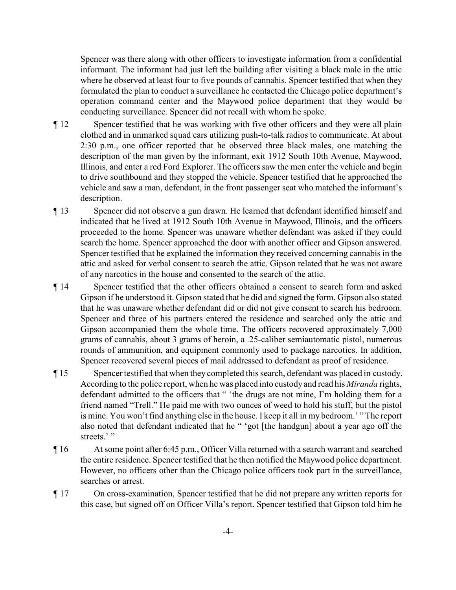Spencer was there along with other officers to investigate information from a confidential informant. The informant had just left the building after visiting a black male in the attic where he observed at least four to five pounds of cannabis. Spencer testified that when they formulated the plan to conduct a surveillance he contacted the Chicago police department's operation command center and the Maywood police department that they would be conducting surveillance. Spencer did not recall with whom he spoke.

- ¶ 12 Spencer testified that he was working with five other officers and they were all plain clothed and in unmarked squad cars utilizing push-to-talk radios to communicate. At about 2:30 p.m., one officer reported that he observed three black males, one matching the description of the man given by the informant, exit 1912 South 10th Avenue, Maywood, Illinois, and enter a red Ford Explorer. The officers saw the men enter the vehicle and begin to drive southbound and they stopped the vehicle. Spencer testified that he approached the vehicle and saw a man, defendant, in the front passenger seat who matched the informant's description.
- ¶ 13 Spencer did not observe a gun drawn. He learned that defendant identified himself and indicated that he lived at 1912 South 10th Avenue in Maywood, Illinois, and the officers proceeded to the home. Spencer was unaware whether defendant was asked if they could search the home. Spencer approached the door with another officer and Gipson answered. Spencer testified that he explained the information they received concerning cannabis in the attic and asked for verbal consent to search the attic. Gipson related that he was not aware of any narcotics in the house and consented to the search of the attic.
- ¶ 14 Spencer testified that the other officers obtained a consent to search form and asked Gipson if he understood it. Gipson stated that he did and signed the form. Gipson also stated that he was unaware whether defendant did or did not give consent to search his bedroom. Spencer and three of his partners entered the residence and searched only the attic and Gipson accompanied them the whole time. The officers recovered approximately 7,000 grams of cannabis, about 3 grams of heroin, a .25-caliber semiautomatic pistol, numerous rounds of ammunition, and equipment commonly used to package narcotics. In addition, Spencer recovered several pieces of mail addressed to defendant as proof of residence.
- ¶ 15 Spencertestified that when they completed this search, defendant was placed in custody. According to the police report, when he was placed into custody and read his *Miranda* rights, defendant admitted to the officers that " 'the drugs are not mine, I'm holding them for a friend named "Trell." He paid me with two ounces of weed to hold his stuff, but the pistol is mine. You won't find anything else in the house. I keep it all in my bedroom.' " The report also noted that defendant indicated that he " 'got [the handgun] about a year ago off the streets.'"
- ¶ 16 At some point after 6:45 p.m., Officer Villa returned with a search warrant and searched the entire residence. Spencer testified that he then notified the Maywood police department. However, no officers other than the Chicago police officers took part in the surveillance, searches or arrest.
- ¶ 17 On cross-examination, Spencer testified that he did not prepare any written reports for this case, but signed off on Officer Villa's report. Spencer testified that Gipson told him he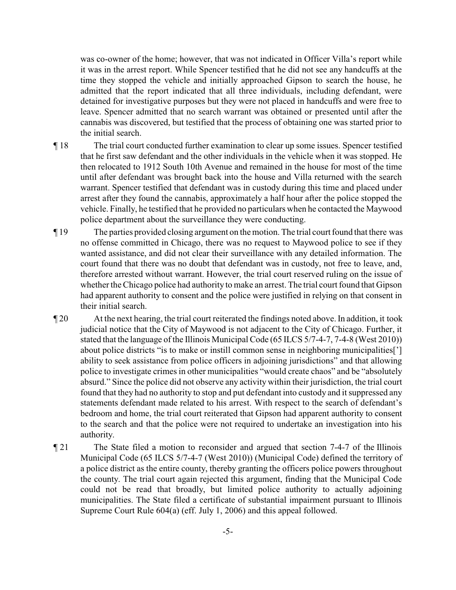was co-owner of the home; however, that was not indicated in Officer Villa's report while it was in the arrest report. While Spencer testified that he did not see any handcuffs at the time they stopped the vehicle and initially approached Gipson to search the house, he admitted that the report indicated that all three individuals, including defendant, were detained for investigative purposes but they were not placed in handcuffs and were free to leave. Spencer admitted that no search warrant was obtained or presented until after the cannabis was discovered, but testified that the process of obtaining one was started prior to the initial search.

- ¶ 18 The trial court conducted further examination to clear up some issues. Spencer testified that he first saw defendant and the other individuals in the vehicle when it was stopped. He then relocated to 1912 South 10th Avenue and remained in the house for most of the time until after defendant was brought back into the house and Villa returned with the search warrant. Spencer testified that defendant was in custody during this time and placed under arrest after they found the cannabis, approximately a half hour after the police stopped the vehicle. Finally, he testified that he provided no particulars when he contacted the Maywood police department about the surveillance they were conducting.
- ¶ 19 The parties provided closing argument on the motion. The trial court found that there was no offense committed in Chicago, there was no request to Maywood police to see if they wanted assistance, and did not clear their surveillance with any detailed information. The court found that there was no doubt that defendant was in custody, not free to leave, and, therefore arrested without warrant. However, the trial court reserved ruling on the issue of whether the Chicago police had authority to make an arrest. The trial court found that Gipson had apparent authority to consent and the police were justified in relying on that consent in their initial search.
- ¶ 20 At the next hearing, the trial court reiterated the findings noted above. In addition, it took judicial notice that the City of Maywood is not adjacent to the City of Chicago. Further, it stated that the language of the Illinois Municipal Code (65 ILCS 5/7-4-7, 7-4-8 (West 2010)) about police districts "is to make or instill common sense in neighboring municipalities['] ability to seek assistance from police officers in adjoining jurisdictions" and that allowing police to investigate crimes in other municipalities "would create chaos" and be "absolutely absurd." Since the police did not observe any activity within their jurisdiction, the trial court found that they had no authority to stop and put defendant into custody and it suppressed any statements defendant made related to his arrest. With respect to the search of defendant's bedroom and home, the trial court reiterated that Gipson had apparent authority to consent to the search and that the police were not required to undertake an investigation into his authority.
- ¶ 21 The State filed a motion to reconsider and argued that section 7-4-7 of the Illinois Municipal Code (65 ILCS 5/7-4-7 (West 2010)) (Municipal Code) defined the territory of a police district as the entire county, thereby granting the officers police powers throughout the county. The trial court again rejected this argument, finding that the Municipal Code could not be read that broadly, but limited police authority to actually adjoining municipalities. The State filed a certificate of substantial impairment pursuant to Illinois Supreme Court Rule 604(a) (eff. July 1, 2006) and this appeal followed.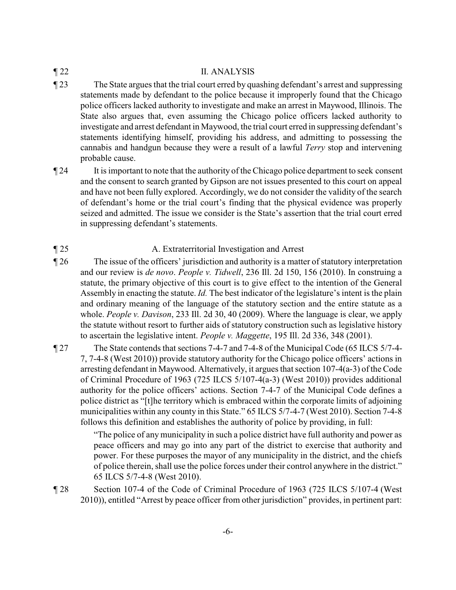### ¶ 22 II. ANALYSIS

¶ 23 The State argues that the trial court erred by quashing defendant's arrest and suppressing statements made by defendant to the police because it improperly found that the Chicago police officers lacked authority to investigate and make an arrest in Maywood, Illinois. The State also argues that, even assuming the Chicago police officers lacked authority to investigate and arrest defendant in Maywood, the trial court erred in suppressing defendant's statements identifying himself, providing his address, and admitting to possessing the cannabis and handgun because they were a result of a lawful *Terry* stop and intervening probable cause.

¶ 24 It is important to note that the authority of the Chicago police department to seek consent and the consent to search granted by Gipson are not issues presented to this court on appeal and have not been fully explored. Accordingly, we do not consider the validity of the search of defendant's home or the trial court's finding that the physical evidence was properly seized and admitted. The issue we consider is the State's assertion that the trial court erred in suppressing defendant's statements.

## ¶ 25 A. Extraterritorial Investigation and Arrest

- ¶ 26 The issue of the officers' jurisdiction and authority is a matter of statutory interpretation and our review is *de novo*. *People v. Tidwell*, 236 Ill. 2d 150, 156 (2010). In construing a statute, the primary objective of this court is to give effect to the intention of the General Assembly in enacting the statute. *Id.* The best indicator of the legislature's intent is the plain and ordinary meaning of the language of the statutory section and the entire statute as a whole. *People v. Davison*, 233 Ill. 2d 30, 40 (2009). Where the language is clear, we apply the statute without resort to further aids of statutory construction such as legislative history to ascertain the legislative intent. *People v. Maggette*, 195 Ill. 2d 336, 348 (2001).
- ¶ 27 The State contends that sections 7-4-7 and 7-4-8 of the Municipal Code (65 ILCS 5/7-4- 7, 7-4-8 (West 2010)) provide statutory authority for the Chicago police officers' actions in arresting defendant in Maywood. Alternatively, it argues that section 107-4(a-3) of the Code of Criminal Procedure of 1963 (725 ILCS 5/107-4(a-3) (West 2010)) provides additional authority for the police officers' actions. Section 7-4-7 of the Municipal Code defines a police district as "[t]he territory which is embraced within the corporate limits of adjoining municipalities within any county in this State." 65 ILCS 5/7-4-7 (West 2010). Section 7-4-8 follows this definition and establishes the authority of police by providing, in full:

"The police of any municipality in such a police district have full authority and power as peace officers and may go into any part of the district to exercise that authority and power. For these purposes the mayor of any municipality in the district, and the chiefs of police therein, shall use the police forces under their control anywhere in the district." 65 ILCS 5/7-4-8 (West 2010).

¶ 28 Section 107-4 of the Code of Criminal Procedure of 1963 (725 ILCS 5/107-4 (West 2010)), entitled "Arrest by peace officer from other jurisdiction" provides, in pertinent part: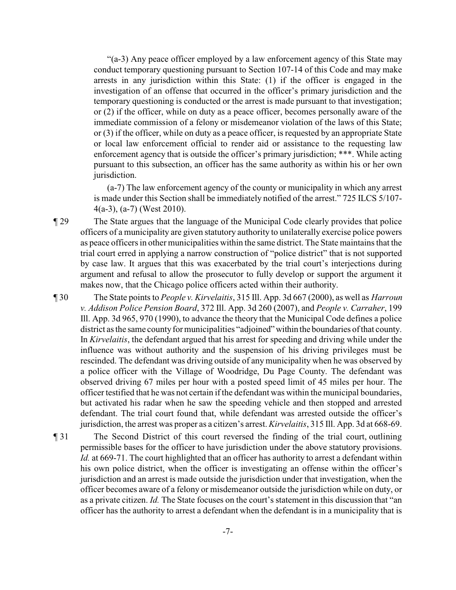"(a-3) Any peace officer employed by a law enforcement agency of this State may conduct temporary questioning pursuant to Section 107-14 of this Code and may make arrests in any jurisdiction within this State: (1) if the officer is engaged in the investigation of an offense that occurred in the officer's primary jurisdiction and the temporary questioning is conducted or the arrest is made pursuant to that investigation; or (2) if the officer, while on duty as a peace officer, becomes personally aware of the immediate commission of a felony or misdemeanor violation of the laws of this State; or (3) if the officer, while on duty as a peace officer, is requested by an appropriate State or local law enforcement official to render aid or assistance to the requesting law enforcement agency that is outside the officer's primary jurisdiction; \*\*\*. While acting pursuant to this subsection, an officer has the same authority as within his or her own jurisdiction.

(a-7) The law enforcement agency of the county or municipality in which any arrest is made under this Section shall be immediately notified of the arrest." 725 ILCS 5/107- 4(a-3), (a-7) (West 2010).

¶ 29 The State argues that the language of the Municipal Code clearly provides that police officers of a municipality are given statutory authority to unilaterally exercise police powers as peace officers in other municipalities within the same district. The State maintains that the trial court erred in applying a narrow construction of "police district" that is not supported by case law. It argues that this was exacerbated by the trial court's interjections during argument and refusal to allow the prosecutor to fully develop or support the argument it makes now, that the Chicago police officers acted within their authority.

¶ 30 The State points to *People v. Kirvelaitis*, 315 Ill. App. 3d 667 (2000), as well as *Harroun v. Addison Police Pension Board*, 372 Ill. App. 3d 260 (2007), and *People v. Carraher*, 199 Ill. App. 3d 965, 970 (1990), to advance the theory that the Municipal Code defines a police district as the same county for municipalities "adjoined" within the boundaries of that county. In *Kirvelaitis*, the defendant argued that his arrest for speeding and driving while under the influence was without authority and the suspension of his driving privileges must be rescinded. The defendant was driving outside of any municipality when he was observed by a police officer with the Village of Woodridge, Du Page County. The defendant was observed driving 67 miles per hour with a posted speed limit of 45 miles per hour. The officer testified that he was not certain if the defendant was within the municipal boundaries, but activated his radar when he saw the speeding vehicle and then stopped and arrested defendant. The trial court found that, while defendant was arrested outside the officer's jurisdiction, the arrest was proper as a citizen's arrest. *Kirvelaitis*, 315 Ill. App. 3d at 668-69.

¶ 31 The Second District of this court reversed the finding of the trial court, outlining permissible bases for the officer to have jurisdiction under the above statutory provisions. *Id.* at 669-71. The court highlighted that an officer has authority to arrest a defendant within his own police district, when the officer is investigating an offense within the officer's jurisdiction and an arrest is made outside the jurisdiction under that investigation, when the officer becomes aware of a felony or misdemeanor outside the jurisdiction while on duty, or as a private citizen. *Id.* The State focuses on the court's statement in this discussion that "an officer has the authority to arrest a defendant when the defendant is in a municipality that is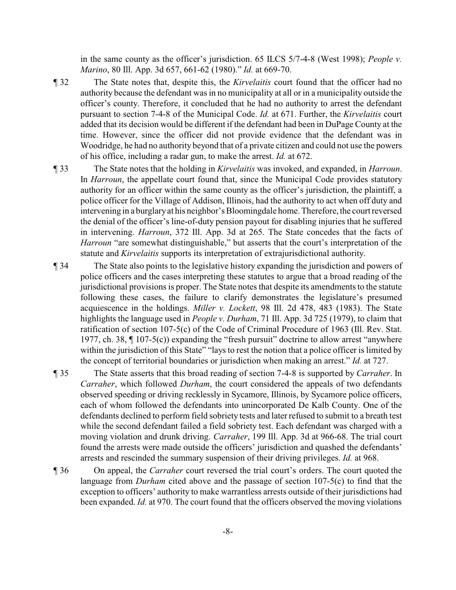in the same county as the officer's jurisdiction. 65 ILCS 5/7-4-8 (West 1998); *People v. Marino*, 80 Ill. App. 3d 657, 661-62 (1980)." *Id.* at 669-70.

- ¶ 32 The State notes that, despite this, the *Kirvelaitis* court found that the officer had no authority because the defendant was in no municipality at all or in a municipality outside the officer's county. Therefore, it concluded that he had no authority to arrest the defendant pursuant to section 7-4-8 of the Municipal Code. *Id.* at 671. Further, the *Kirvelaitis* court added that its decision would be different if the defendant had been in DuPage County at the time. However, since the officer did not provide evidence that the defendant was in Woodridge, he had no authority beyond that of a private citizen and could not use the powers of his office, including a radar gun, to make the arrest. *Id.* at 672.
- ¶ 33 The State notes that the holding in *Kirvelaitis* was invoked, and expanded, in *Harroun*. In *Harroun*, the appellate court found that, since the Municipal Code provides statutory authority for an officer within the same county as the officer's jurisdiction, the plaintiff, a police officer for the Village of Addison, Illinois, had the authority to act when off duty and intervening in a burglary at his neighbor's Bloomingdale home. Therefore, the court reversed the denial of the officer's line-of-duty pension payout for disabling injuries that he suffered in intervening. *Harroun*, 372 Ill. App. 3d at 265. The State concedes that the facts of *Harroun* "are somewhat distinguishable," but asserts that the court's interpretation of the statute and *Kirvelaitis* supports its interpretation of extrajurisdictional authority.
- ¶ 34 The State also points to the legislative history expanding the jurisdiction and powers of police officers and the cases interpreting these statutes to argue that a broad reading of the jurisdictional provisions is proper. The State notes that despite its amendments to the statute following these cases, the failure to clarify demonstrates the legislature's presumed acquiescence in the holdings. *Miller v. Lockett*, 98 Ill. 2d 478, 483 (1983). The State highlights the language used in *People v. Durham*, 71 Ill. App. 3d 725 (1979), to claim that ratification of section 107-5(c) of the Code of Criminal Procedure of 1963 (Ill. Rev. Stat. 1977, ch. 38, ¶ 107-5(c)) expanding the "fresh pursuit" doctrine to allow arrest "anywhere within the jurisdiction of this State" "lays to rest the notion that a police officer is limited by the concept of territorial boundaries or jurisdiction when making an arrest." *Id.* at 727.
- ¶ 35 The State asserts that this broad reading of section 7-4-8 is supported by *Carraher*. In *Carraher*, which followed *Durham*, the court considered the appeals of two defendants observed speeding or driving recklessly in Sycamore, Illinois, by Sycamore police officers, each of whom followed the defendants into unincorporated De Kalb County. One of the defendants declined to perform field sobriety tests and later refused to submit to a breath test while the second defendant failed a field sobriety test. Each defendant was charged with a moving violation and drunk driving. *Carraher*, 199 Ill. App. 3d at 966-68. The trial court found the arrests were made outside the officers' jurisdiction and quashed the defendants' arrests and rescinded the summary suspension of their driving privileges. *Id.* at 968.
- ¶ 36 On appeal, the *Carraher* court reversed the trial court's orders. The court quoted the language from *Durham* cited above and the passage of section 107-5(c) to find that the exception to officers' authority to make warrantless arrests outside of their jurisdictions had been expanded. *Id.* at 970. The court found that the officers observed the moving violations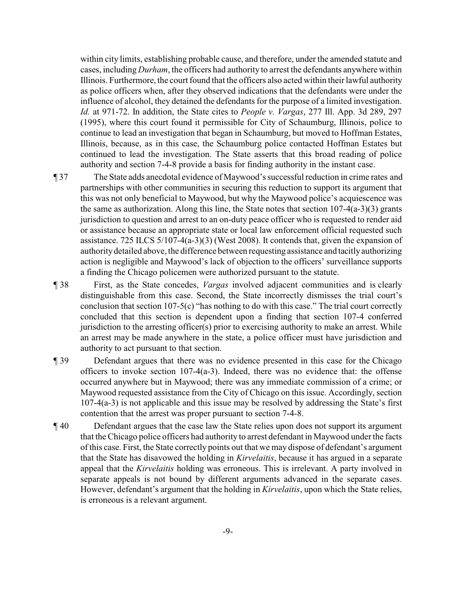within city limits, establishing probable cause, and therefore, under the amended statute and cases, including *Durham*, the officers had authority to arrest the defendants anywhere within Illinois. Furthermore, the court found that the officers also acted within their lawful authority as police officers when, after they observed indications that the defendants were under the influence of alcohol, they detained the defendants for the purpose of a limited investigation. *Id.* at 971-72. In addition, the State cites to *People v. Vargas*, 277 Ill. App. 3d 289, 297 (1995), where this court found it permissible for City of Schaumburg, Illinois, police to continue to lead an investigation that began in Schaumburg, but moved to Hoffman Estates, Illinois, because, as in this case, the Schaumburg police contacted Hoffman Estates but continued to lead the investigation. The State asserts that this broad reading of police authority and section 7-4-8 provide a basis for finding authority in the instant case.

¶ 37 The State adds anecdotal evidence of Maywood's successful reduction in crime rates and partnerships with other communities in securing this reduction to support its argument that this was not only beneficial to Maywood, but why the Maywood police's acquiescence was the same as authorization. Along this line, the State notes that section 107-4(a-3)(3) grants jurisdiction to question and arrest to an on-duty peace officer who is requested to render aid or assistance because an appropriate state or local law enforcement official requested such assistance. 725 ILCS 5/107-4(a-3)(3) (West 2008). It contends that, given the expansion of authoritydetailed above, the difference between requesting assistance and tacitlyauthorizing action is negligible and Maywood's lack of objection to the officers' surveillance supports a finding the Chicago policemen were authorized pursuant to the statute.

- ¶ 38 First, as the State concedes, *Vargas* involved adjacent communities and is clearly distinguishable from this case. Second, the State incorrectly dismisses the trial court's conclusion that section 107-5(c) "has nothing to do with this case." The trial court correctly concluded that this section is dependent upon a finding that section 107-4 conferred jurisdiction to the arresting officer(s) prior to exercising authority to make an arrest. While an arrest may be made anywhere in the state, a police officer must have jurisdiction and authority to act pursuant to that section.
- ¶ 39 Defendant argues that there was no evidence presented in this case for the Chicago officers to invoke section 107-4(a-3). Indeed, there was no evidence that: the offense occurred anywhere but in Maywood; there was any immediate commission of a crime; or Maywood requested assistance from the City of Chicago on this issue. Accordingly, section 107-4(a-3) is not applicable and this issue may be resolved by addressing the State's first contention that the arrest was proper pursuant to section 7-4-8.
- ¶ 40 Defendant argues that the case law the State relies upon does not support its argument that the Chicago police officers had authority to arrest defendant in Maywood under the facts of this case. First, the State correctly points out that we may dispose of defendant's argument that the State has disavowed the holding in *Kirvelaitis*, because it has argued in a separate appeal that the *Kirvelaitis* holding was erroneous. This is irrelevant. A party involved in separate appeals is not bound by different arguments advanced in the separate cases. However, defendant's argument that the holding in *Kirvelaitis*, upon which the State relies, is erroneous is a relevant argument.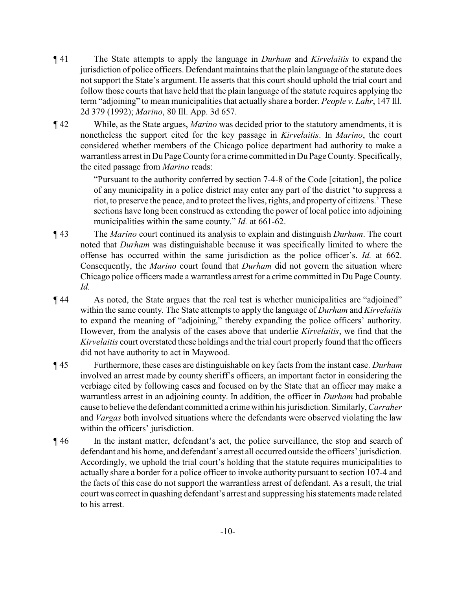- ¶ 41 The State attempts to apply the language in *Durham* and *Kirvelaitis* to expand the jurisdiction of police officers. Defendant maintains that the plain language of the statute does not support the State's argument. He asserts that this court should uphold the trial court and follow those courts that have held that the plain language of the statute requires applying the term "adjoining" to mean municipalities that actually share a border. *People v. Lahr*, 147 Ill. 2d 379 (1992); *Marino*, 80 Ill. App. 3d 657.
- ¶ 42 While, as the State argues, *Marino* was decided prior to the statutory amendments, it is nonetheless the support cited for the key passage in *Kirvelaitis*. In *Marino*, the court considered whether members of the Chicago police department had authority to make a warrantless arrest in Du Page County for a crime committed in Du Page County. Specifically, the cited passage from *Marino* reads:

"Pursuant to the authority conferred by section 7-4-8 of the Code [citation], the police of any municipality in a police district may enter any part of the district 'to suppress a riot, to preserve the peace, and to protect the lives, rights, and property of citizens.' These sections have long been construed as extending the power of local police into adjoining municipalities within the same county." *Id.* at 661-62.

- ¶ 43 The *Marino* court continued its analysis to explain and distinguish *Durham*. The court noted that *Durham* was distinguishable because it was specifically limited to where the offense has occurred within the same jurisdiction as the police officer's. *Id.* at 662. Consequently, the *Marino* court found that *Durham* did not govern the situation where Chicago police officers made a warrantless arrest for a crime committed in Du Page County. *Id.*
- ¶ 44 As noted, the State argues that the real test is whether municipalities are "adjoined" within the same county. The State attempts to apply the language of *Durham* and *Kirvelaitis* to expand the meaning of "adjoining," thereby expanding the police officers' authority. However, from the analysis of the cases above that underlie *Kirvelaitis*, we find that the *Kirvelaitis* court overstated these holdings and the trial court properly found that the officers did not have authority to act in Maywood.
- ¶ 45 Furthermore, these cases are distinguishable on key facts from the instant case. *Durham* involved an arrest made by county sheriff's officers, an important factor in considering the verbiage cited by following cases and focused on by the State that an officer may make a warrantless arrest in an adjoining county. In addition, the officer in *Durham* had probable cause to believe the defendant committed a crime within his jurisdiction. Similarly, *Carraher* and *Vargas* both involved situations where the defendants were observed violating the law within the officers' jurisdiction.
- ¶ 46 In the instant matter, defendant's act, the police surveillance, the stop and search of defendant and his home, and defendant's arrest all occurred outside the officers' jurisdiction. Accordingly, we uphold the trial court's holding that the statute requires municipalities to actually share a border for a police officer to invoke authority pursuant to section 107-4 and the facts of this case do not support the warrantless arrest of defendant. As a result, the trial court was correct in quashing defendant's arrest and suppressing his statements made related to his arrest.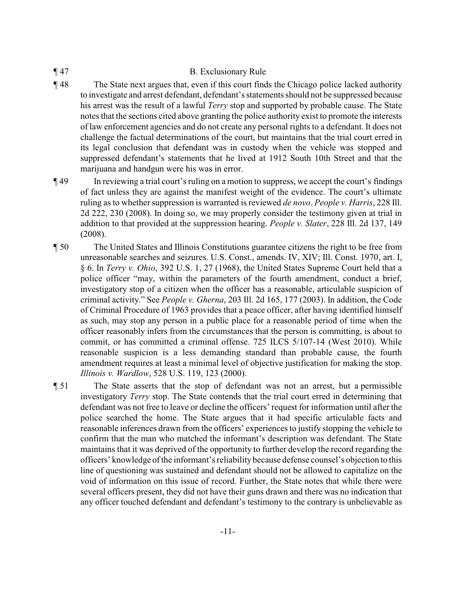#### ¶ 47 B. Exclusionary Rule

- ¶ 48 The State next argues that, even if this court finds the Chicago police lacked authority to investigate and arrest defendant, defendant's statements should not be suppressed because his arrest was the result of a lawful *Terry* stop and supported by probable cause. The State notes that the sections cited above granting the police authority exist to promote the interests of law enforcement agencies and do not create any personal rights to a defendant. It does not challenge the factual determinations of the court, but maintains that the trial court erred in its legal conclusion that defendant was in custody when the vehicle was stopped and suppressed defendant's statements that he lived at 1912 South 10th Street and that the marijuana and handgun were his was in error.
- ¶ 49 In reviewing a trial court's ruling on a motion to suppress, we accept the court's findings of fact unless they are against the manifest weight of the evidence. The court's ultimate ruling as to whether suppression is warranted is reviewed *de novo*. *People v. Harris*, 228 Ill. 2d 222, 230 (2008). In doing so, we may properly consider the testimony given at trial in addition to that provided at the suppression hearing. *People v. Slater*, 228 Ill. 2d 137, 149 (2008).
- ¶ 50 The United States and Illinois Constitutions guarantee citizens the right to be free from unreasonable searches and seizures. U.S. Const., amends. IV, XIV; Ill. Const. 1970, art. I, § 6. In *Terry v. Ohio*, 392 U.S. 1, 27 (1968), the United States Supreme Court held that a police officer "may, within the parameters of the fourth amendment, conduct a brief, investigatory stop of a citizen when the officer has a reasonable, articulable suspicion of criminal activity." See *People v. Gherna*, 203 Ill. 2d 165, 177 (2003). In addition, the Code of Criminal Procedure of 1963 provides that a peace officer, after having identified himself as such, may stop any person in a public place for a reasonable period of time when the officer reasonably infers from the circumstances that the person is committing, is about to commit, or has committed a criminal offense. 725 ILCS 5/107-14 (West 2010). While reasonable suspicion is a less demanding standard than probable cause, the fourth amendment requires at least a minimal level of objective justification for making the stop. *Illinois v. Wardlow*, 528 U.S. 119, 123 (2000).
- ¶ 51 The State asserts that the stop of defendant was not an arrest, but a permissible investigatory *Terry* stop. The State contends that the trial court erred in determining that defendant was not free to leave or decline the officers' request for information until after the police searched the home. The State argues that it had specific articulable facts and reasonable inferences drawn from the officers' experiences to justify stopping the vehicle to confirm that the man who matched the informant's description was defendant. The State maintains that it was deprived of the opportunity to further develop the record regarding the officers' knowledge of the informant's reliability because defense counsel's objection to this line of questioning was sustained and defendant should not be allowed to capitalize on the void of information on this issue of record. Further, the State notes that while there were several officers present, they did not have their guns drawn and there was no indication that any officer touched defendant and defendant's testimony to the contrary is unbelievable as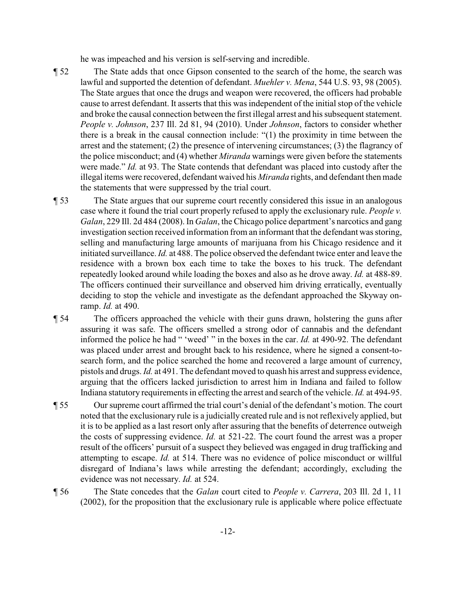he was impeached and his version is self-serving and incredible.

- ¶ 52 The State adds that once Gipson consented to the search of the home, the search was lawful and supported the detention of defendant. *Muehler v. Mena*, 544 U.S. 93, 98 (2005). The State argues that once the drugs and weapon were recovered, the officers had probable cause to arrest defendant. It asserts that this was independent of the initial stop of the vehicle and broke the causal connection between the first illegal arrest and his subsequent statement. *People v. Johnson*, 237 Ill. 2d 81, 94 (2010). Under *Johnson*, factors to consider whether there is a break in the causal connection include: "(1) the proximity in time between the arrest and the statement; (2) the presence of intervening circumstances; (3) the flagrancy of the police misconduct; and (4) whether *Miranda* warnings were given before the statements were made." *Id.* at 93. The State contends that defendant was placed into custody after the illegal items were recovered, defendant waived his *Miranda* rights, and defendant then made the statements that were suppressed by the trial court.
- ¶ 53 The State argues that our supreme court recently considered this issue in an analogous case where it found the trial court properly refused to apply the exclusionary rule. *People v. Galan*, 229 Ill. 2d 484 (2008). In *Galan*, the Chicago police department's narcotics and gang investigation section received information from an informant that the defendant was storing, selling and manufacturing large amounts of marijuana from his Chicago residence and it initiated surveillance. *Id.* at 488. The police observed the defendant twice enter and leave the residence with a brown box each time to take the boxes to his truck. The defendant repeatedly looked around while loading the boxes and also as he drove away. *Id.* at 488-89. The officers continued their surveillance and observed him driving erratically, eventually deciding to stop the vehicle and investigate as the defendant approached the Skyway onramp. *Id.* at 490.
- ¶ 54 The officers approached the vehicle with their guns drawn, holstering the guns after assuring it was safe. The officers smelled a strong odor of cannabis and the defendant informed the police he had " 'weed' " in the boxes in the car. *Id.* at 490-92. The defendant was placed under arrest and brought back to his residence, where he signed a consent-tosearch form, and the police searched the home and recovered a large amount of currency, pistols and drugs. *Id.* at 491. The defendant moved to quash his arrest and suppress evidence, arguing that the officers lacked jurisdiction to arrest him in Indiana and failed to follow Indiana statutory requirements in effecting the arrest and search of the vehicle. *Id.* at 494-95.
- ¶ 55 Our supreme court affirmed the trial court's denial of the defendant's motion. The court noted that the exclusionary rule is a judicially created rule and is not reflexively applied, but it is to be applied as a last resort only after assuring that the benefits of deterrence outweigh the costs of suppressing evidence. *Id.* at 521-22. The court found the arrest was a proper result of the officers' pursuit of a suspect they believed was engaged in drug trafficking and attempting to escape. *Id.* at 514. There was no evidence of police misconduct or willful disregard of Indiana's laws while arresting the defendant; accordingly, excluding the evidence was not necessary. *Id.* at 524.
- ¶ 56 The State concedes that the *Galan* court cited to *People v. Carrera*, 203 Ill. 2d 1, 11 (2002), for the proposition that the exclusionary rule is applicable where police effectuate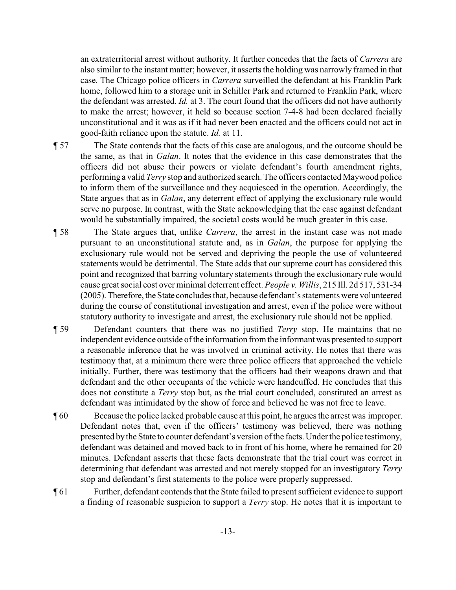an extraterritorial arrest without authority. It further concedes that the facts of *Carrera* are also similar to the instant matter; however, it asserts the holding was narrowly framed in that case. The Chicago police officers in *Carrera* surveilled the defendant at his Franklin Park home, followed him to a storage unit in Schiller Park and returned to Franklin Park, where the defendant was arrested. *Id.* at 3. The court found that the officers did not have authority to make the arrest; however, it held so because section 7-4-8 had been declared facially unconstitutional and it was as if it had never been enacted and the officers could not act in good-faith reliance upon the statute. *Id.* at 11.

- ¶ 57 The State contends that the facts of this case are analogous, and the outcome should be the same, as that in *Galan*. It notes that the evidence in this case demonstrates that the officers did not abuse their powers or violate defendant's fourth amendment rights, performing a valid *Terry* stop and authorized search. The officers contacted Maywood police to inform them of the surveillance and they acquiesced in the operation. Accordingly, the State argues that as in *Galan*, any deterrent effect of applying the exclusionary rule would serve no purpose. In contrast, with the State acknowledging that the case against defendant would be substantially impaired, the societal costs would be much greater in this case.
- ¶ 58 The State argues that, unlike *Carrera*, the arrest in the instant case was not made pursuant to an unconstitutional statute and, as in *Galan*, the purpose for applying the exclusionary rule would not be served and depriving the people the use of volunteered statements would be detrimental. The State adds that our supreme court has considered this point and recognized that barring voluntary statements through the exclusionary rule would cause great social cost over minimal deterrent effect. *People v. Willis*, 215 Ill. 2d 517, 531-34 (2005). Therefore, the State concludes that, because defendant's statements were volunteered during the course of constitutional investigation and arrest, even if the police were without statutory authority to investigate and arrest, the exclusionary rule should not be applied.
- ¶ 59 Defendant counters that there was no justified *Terry* stop. He maintains that no independent evidence outside of the information from the informant was presented to support a reasonable inference that he was involved in criminal activity. He notes that there was testimony that, at a minimum there were three police officers that approached the vehicle initially. Further, there was testimony that the officers had their weapons drawn and that defendant and the other occupants of the vehicle were handcuffed. He concludes that this does not constitute a *Terry* stop but, as the trial court concluded, constituted an arrest as defendant was intimidated by the show of force and believed he was not free to leave.
- ¶ 60 Because the police lacked probable cause at this point, he argues the arrest was improper. Defendant notes that, even if the officers' testimony was believed, there was nothing presented by the State to counter defendant's version of the facts. Under the police testimony, defendant was detained and moved back to in front of his home, where he remained for 20 minutes. Defendant asserts that these facts demonstrate that the trial court was correct in determining that defendant was arrested and not merely stopped for an investigatory *Terry* stop and defendant's first statements to the police were properly suppressed.
- ¶ 61 Further, defendant contends that the State failed to present sufficient evidence to support a finding of reasonable suspicion to support a *Terry* stop. He notes that it is important to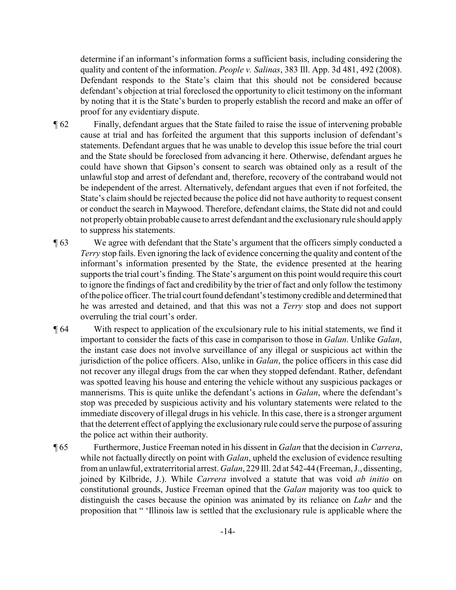determine if an informant's information forms a sufficient basis, including considering the quality and content of the information. *People v. Salinas*, 383 Ill. App. 3d 481, 492 (2008). Defendant responds to the State's claim that this should not be considered because defendant's objection at trial foreclosed the opportunity to elicit testimony on the informant by noting that it is the State's burden to properly establish the record and make an offer of proof for any evidentiary dispute.

¶ 62 Finally, defendant argues that the State failed to raise the issue of intervening probable cause at trial and has forfeited the argument that this supports inclusion of defendant's statements. Defendant argues that he was unable to develop this issue before the trial court and the State should be foreclosed from advancing it here. Otherwise, defendant argues he could have shown that Gipson's consent to search was obtained only as a result of the unlawful stop and arrest of defendant and, therefore, recovery of the contraband would not be independent of the arrest. Alternatively, defendant argues that even if not forfeited, the State's claim should be rejected because the police did not have authority to request consent or conduct the search in Maywood. Therefore, defendant claims, the State did not and could not properly obtain probable cause to arrest defendant and the exclusionary rule should apply to suppress his statements.

- ¶ 63 We agree with defendant that the State's argument that the officers simply conducted a *Terry* stop fails. Even ignoring the lack of evidence concerning the quality and content of the informant's information presented by the State, the evidence presented at the hearing supports the trial court's finding. The State's argument on this point would require this court to ignore the findings of fact and credibility by the trier of fact and only follow the testimony of the police officer. The trial court found defendant's testimonycredible and determined that he was arrested and detained, and that this was not a *Terry* stop and does not support overruling the trial court's order.
- ¶ 64 With respect to application of the exculsionary rule to his initial statements, we find it important to consider the facts of this case in comparison to those in *Galan*. Unlike *Galan*, the instant case does not involve surveillance of any illegal or suspicious act within the jurisdiction of the police officers. Also, unlike in *Galan*, the police officers in this case did not recover any illegal drugs from the car when they stopped defendant. Rather, defendant was spotted leaving his house and entering the vehicle without any suspicious packages or mannerisms. This is quite unlike the defendant's actions in *Galan*, where the defendant's stop was preceded by suspicious activity and his voluntary statements were related to the immediate discovery of illegal drugs in his vehicle. In this case, there is a stronger argument that the deterrent effect of applying the exclusionary rule could serve the purpose of assuring the police act within their authority.
- ¶ 65 Furthermore, Justice Freeman noted in his dissent in *Galan* that the decision in *Carrera*, while not factually directly on point with *Galan*, upheld the exclusion of evidence resulting from an unlawful, extraterritorial arrest. *Galan*, 229 Ill. 2d at 542-44 (Freeman, J., dissenting, joined by Kilbride, J.). While *Carrera* involved a statute that was void *ab initio* on constitutional grounds, Justice Freeman opined that the *Galan* majority was too quick to distinguish the cases because the opinion was animated by its reliance on *Lahr* and the proposition that " 'Illinois law is settled that the exclusionary rule is applicable where the